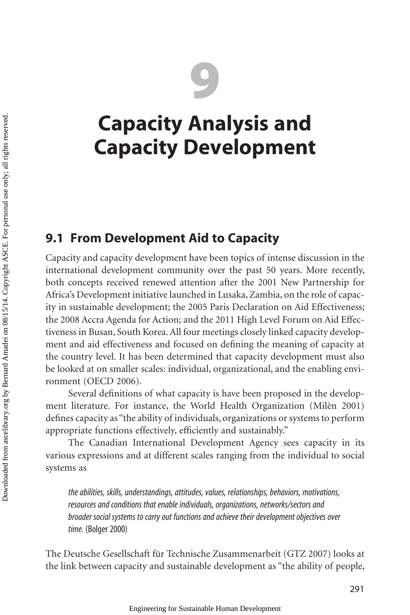# 9

## Capacity Analysis and Capacity Development

### 9.1 From Development Aid to Capacity

Capacity and capacity development have been topics of intense discussion in the international development community over the past 50 years. More recently, both concepts received renewed attention after the 2001 New Partnership for Africa's Development initiative launched in Lusaka, Zambia, on the role of capacity in sustainable development; the 2005 Paris Declaration on Aid Effectiveness; the 2008 Accra Agenda for Action; and the 2011 High Level Forum on Aid Effectiveness in Busan, South Korea. All four meetings closely linked capacity development and aid effectiveness and focused on defining the meaning of capacity at the country level. It has been determined that capacity development must also be looked at on smaller scales: individual, organizational, and the enabling environment (OECD 2006).

Several definitions of what capacity is have been proposed in the development literature. For instance, the World Health Organization (Milèn 2001) defines capacity as "the ability of individuals, organizations or systems to perform appropriate functions effectively, efficiently and sustainably."

The Canadian International Development Agency sees capacity in its various expressions and at different scales ranging from the individual to social systems as

*the abilities, skills, understandings, attitudes, values, relationships, behaviors, motivations, resources and conditions that enable individuals, organizations, networks/sectors and broader social systems to carry out functions and achieve their development objectives over time.* (Bolger 2000)

The Deutsche Gesellschaft für Technische Zusammenarbeit (GTZ 2007) looks at the link between capacity and sustainable development as "the ability of people,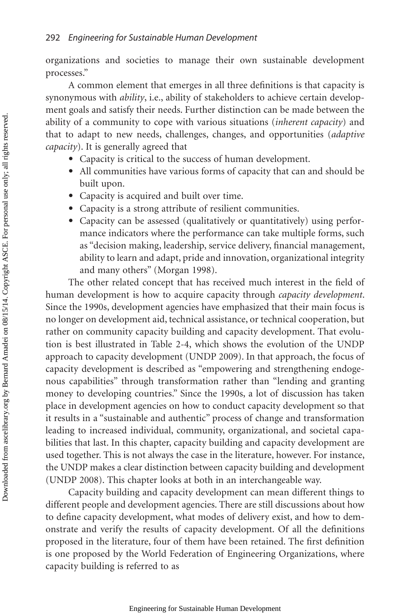organizations and societies to manage their own sustainable development processes."

A common element that emerges in all three definitions is that capacity is synonymous with *ability*, i.e., ability of stakeholders to achieve certain development goals and satisfy their needs. Further distinction can be made between the ability of a community to cope with various situations (*inherent capacity*) and that to adapt to new needs, challenges, changes, and opportunities (*adaptive capacity*). It is generally agreed that

- Capacity is critical to the success of human development.
- All communities have various forms of capacity that can and should be built upon.
- Capacity is acquired and built over time.
- Capacity is a strong attribute of resilient communities.
- Capacity can be assessed (qualitatively or quantitatively) using performance indicators where the performance can take multiple forms, such as "decision making, leadership, service delivery, financial management, ability to learn and adapt, pride and innovation, organizational integrity and many others" (Morgan 1998).

The other related concept that has received much interest in the field of human development is how to acquire capacity through *capacity development*. Since the 1990s, development agencies have emphasized that their main focus is no longer on development aid, technical assistance, or technical cooperation, but rather on community capacity building and capacity development. That evolution is best illustrated in Table 2-4, which shows the evolution of the UNDP approach to capacity development (UNDP 2009). In that approach, the focus of capacity development is described as "empowering and strengthening endogenous capabilities" through transformation rather than "lending and granting money to developing countries." Since the 1990s, a lot of discussion has taken place in development agencies on how to conduct capacity development so that it results in a "sustainable and authentic" process of change and transformation leading to increased individual, community, organizational, and societal capabilities that last. In this chapter, capacity building and capacity development are used together. This is not always the case in the literature, however. For instance, the UNDP makes a clear distinction between capacity building and development (UNDP 2008). This chapter looks at both in an interchangeable way.

Capacity building and capacity development can mean different things to different people and development agencies. There are still discussions about how to define capacity development, what modes of delivery exist, and how to demonstrate and verify the results of capacity development. Of all the definitions proposed in the literature, four of them have been retained. The first definition is one proposed by the World Federation of Engineering Organizations, where capacity building is referred to as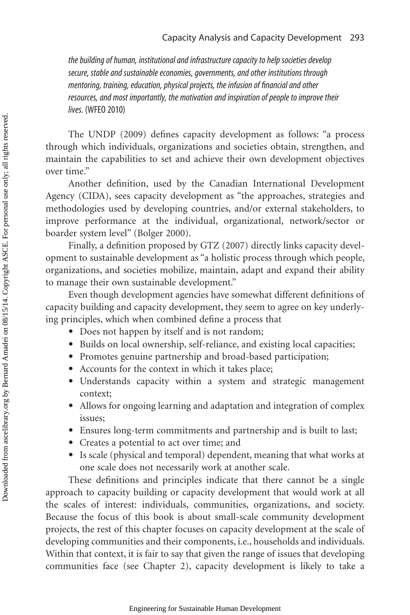*the building of human, institutional and infrastructure capacity to help societies develop secure, stable and sustainable economies, governments, and other institutions through mentoring, training, education, physical projects, the infusion of financial and other resources, and most importantly, the motivation and inspiration of people to improve their lives.* (WFEO 2010)

The UNDP (2009) defines capacity development as follows: "a process through which individuals, organizations and societies obtain, strengthen, and maintain the capabilities to set and achieve their own development objectives over time."

Another definition, used by the Canadian International Development Agency (CIDA), sees capacity development as "the approaches, strategies and methodologies used by developing countries, and/or external stakeholders, to improve performance at the individual, organizational, network/sector or boarder system level" (Bolger 2000).

Finally, a definition proposed by GTZ (2007) directly links capacity development to sustainable development as "a holistic process through which people, organizations, and societies mobilize, maintain, adapt and expand their ability to manage their own sustainable development."

Even though development agencies have somewhat different definitions of capacity building and capacity development, they seem to agree on key underlying principles, which when combined define a process that

- Does not happen by itself and is not random;
- Builds on local ownership, self-reliance, and existing local capacities;
- Promotes genuine partnership and broad-based participation;
- Accounts for the context in which it takes place;
- Understands capacity within a system and strategic management context;
- Allows for ongoing learning and adaptation and integration of complex issues;
- Ensures long-term commitments and partnership and is built to last;
- Creates a potential to act over time; and
- Is scale (physical and temporal) dependent, meaning that what works at one scale does not necessarily work at another scale.

These definitions and principles indicate that there cannot be a single approach to capacity building or capacity development that would work at all the scales of interest: individuals, communities, organizations, and society. Because the focus of this book is about small-scale community development projects, the rest of this chapter focuses on capacity development at the scale of developing communities and their components, i.e., households and individuals. Within that context, it is fair to say that given the range of issues that developing communities face (see Chapter 2), capacity development is likely to take a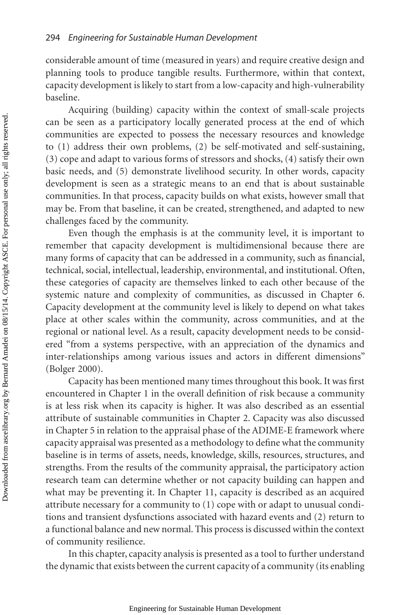considerable amount of time (measured in years) and require creative design and planning tools to produce tangible results. Furthermore, within that context, capacity development is likely to start from a low-capacity and high-vulnerability baseline.

Acquiring (building) capacity within the context of small-scale projects can be seen as a participatory locally generated process at the end of which communities are expected to possess the necessary resources and knowledge to (1) address their own problems, (2) be self-motivated and self-sustaining, (3) cope and adapt to various forms of stressors and shocks, (4) satisfy their own basic needs, and (5) demonstrate livelihood security. In other words, capacity development is seen as a strategic means to an end that is about sustainable communities. In that process, capacity builds on what exists, however small that may be. From that baseline, it can be created, strengthened, and adapted to new challenges faced by the community.

Even though the emphasis is at the community level, it is important to remember that capacity development is multidimensional because there are many forms of capacity that can be addressed in a community, such as financial, technical, social, intellectual, leadership, environmental, and institutional. Often, these categories of capacity are themselves linked to each other because of the systemic nature and complexity of communities, as discussed in Chapter 6. Capacity development at the community level is likely to depend on what takes place at other scales within the community, across communities, and at the regional or national level. As a result, capacity development needs to be considered "from a systems perspective, with an appreciation of the dynamics and inter-relationships among various issues and actors in different dimensions" (Bolger 2000).

Capacity has been mentioned many times throughout this book. It was first encountered in Chapter 1 in the overall definition of risk because a community is at less risk when its capacity is higher. It was also described as an essential attribute of sustainable communities in Chapter 2. Capacity was also discussed in Chapter 5 in relation to the appraisal phase of the ADIME-E framework where capacity appraisal was presented as a methodology to define what the community baseline is in terms of assets, needs, knowledge, skills, resources, structures, and strengths. From the results of the community appraisal, the participatory action research team can determine whether or not capacity building can happen and what may be preventing it. In Chapter 11, capacity is described as an acquired attribute necessary for a community to (1) cope with or adapt to unusual conditions and transient dysfunctions associated with hazard events and (2) return to a functional balance and new normal. This process is discussed within the context of community resilience.

In this chapter, capacity analysis is presented as a tool to further understand the dynamic that exists between the current capacity of a community (its enabling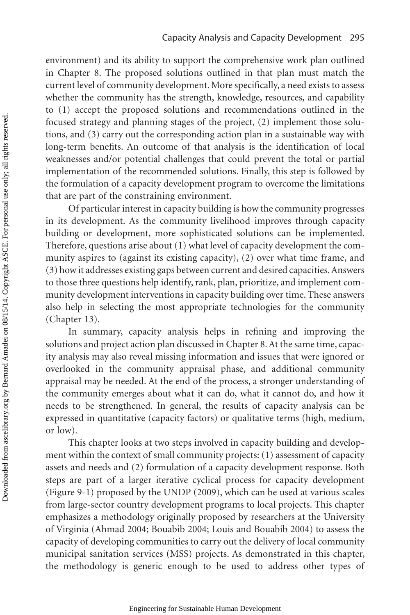environment) and its ability to support the comprehensive work plan outlined in Chapter 8. The proposed solutions outlined in that plan must match the current level of community development. More specifically, a need exists to assess whether the community has the strength, knowledge, resources, and capability to (1) accept the proposed solutions and recommendations outlined in the focused strategy and planning stages of the project, (2) implement those solutions, and (3) carry out the corresponding action plan in a sustainable way with long-term benefits. An outcome of that analysis is the identification of local weaknesses and/or potential challenges that could prevent the total or partial implementation of the recommended solutions. Finally, this step is followed by the formulation of a capacity development program to overcome the limitations that are part of the constraining environment.

Of particular interest in capacity building is how the community progresses in its development. As the community livelihood improves through capacity building or development, more sophisticated solutions can be implemented. Therefore, questions arise about (1) what level of capacity development the community aspires to (against its existing capacity), (2) over what time frame, and (3) how it addresses existing gaps between current and desired capacities. Answers to those three questions help identify, rank, plan, prioritize, and implement community development interventions in capacity building over time. These answers also help in selecting the most appropriate technologies for the community (Chapter 13).

In summary, capacity analysis helps in refining and improving the solutions and project action plan discussed in Chapter 8. At the same time, capacity analysis may also reveal missing information and issues that were ignored or overlooked in the community appraisal phase, and additional community appraisal may be needed. At the end of the process, a stronger understanding of the community emerges about what it can do, what it cannot do, and how it needs to be strengthened. In general, the results of capacity analysis can be expressed in quantitative (capacity factors) or qualitative terms (high, medium, or low).

This chapter looks at two steps involved in capacity building and development within the context of small community projects: (1) assessment of capacity assets and needs and (2) formulation of a capacity development response. Both steps are part of a larger iterative cyclical process for capacity development (Figure 9-1) proposed by the UNDP (2009), which can be used at various scales from large-sector country development programs to local projects. This chapter emphasizes a methodology originally proposed by researchers at the University of Virginia (Ahmad 2004; Bouabib 2004; Louis and Bouabib 2004) to assess the capacity of developing communities to carry out the delivery of local community municipal sanitation services (MSS) projects. As demonstrated in this chapter, the methodology is generic enough to be used to address other types of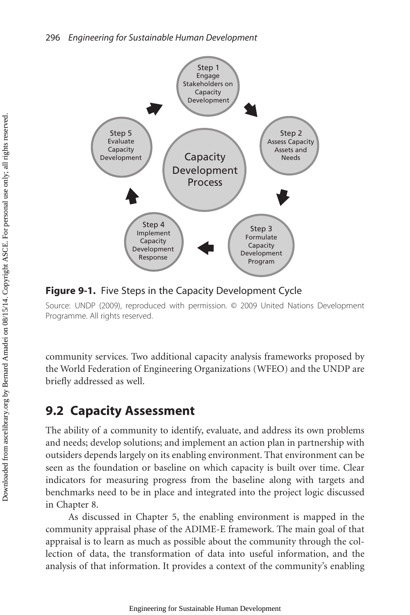

**Figure 9-1.** Five Steps in the Capacity Development Cycle

Source: UNDP (2009), reproduced with permission. © 2009 United Nations Development Programme. All rights reserved.

community services. Two additional capacity analysis frameworks proposed by the World Federation of Engineering Organizations (WFEO) and the UNDP are briefly addressed as well.

### 9.2 Capacity Assessment

The ability of a community to identify, evaluate, and address its own problems and needs; develop solutions; and implement an action plan in partnership with outsiders depends largely on its enabling environment. That environment can be seen as the foundation or baseline on which capacity is built over time. Clear indicators for measuring progress from the baseline along with targets and benchmarks need to be in place and integrated into the project logic discussed in Chapter 8.

As discussed in Chapter 5, the enabling environment is mapped in the community appraisal phase of the ADIME-E framework. The main goal of that appraisal is to learn as much as possible about the community through the collection of data, the transformation of data into useful information, and the analysis of that information. It provides a context of the community's enabling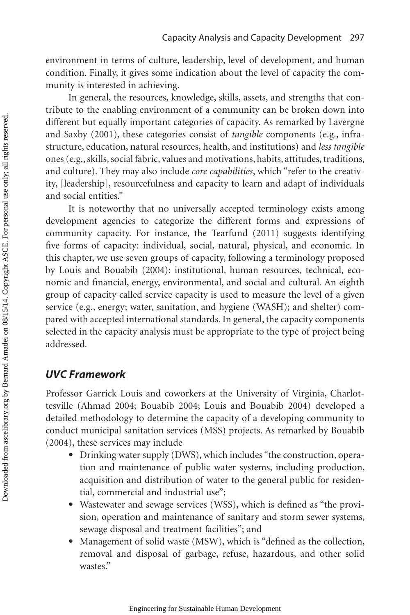environment in terms of culture, leadership, level of development, and human condition. Finally, it gives some indication about the level of capacity the community is interested in achieving.

In general, the resources, knowledge, skills, assets, and strengths that contribute to the enabling environment of a community can be broken down into different but equally important categories of capacity. As remarked by Lavergne and Saxby (2001), these categories consist of *tangible* components (e.g., infrastructure, education, natural resources, health, and institutions) and *less tangible* ones (e.g., skills, social fabric, values and motivations, habits, attitudes, traditions, and culture). They may also include *core capabilities*, which "refer to the creativity, [leadership], resourcefulness and capacity to learn and adapt of individuals and social entities."

It is noteworthy that no universally accepted terminology exists among development agencies to categorize the different forms and expressions of community capacity. For instance, the Tearfund (2011) suggests identifying five forms of capacity: individual, social, natural, physical, and economic. In this chapter, we use seven groups of capacity, following a terminology proposed by Louis and Bouabib (2004): institutional, human resources, technical, economic and financial, energy, environmental, and social and cultural. An eighth group of capacity called service capacity is used to measure the level of a given service (e.g., energy; water, sanitation, and hygiene (WASH); and shelter) compared with accepted international standards. In general, the capacity components selected in the capacity analysis must be appropriate to the type of project being addressed.

#### *UVC Framework*

Professor Garrick Louis and coworkers at the University of Virginia, Charlottesville (Ahmad 2004; Bouabib 2004; Louis and Bouabib 2004) developed a detailed methodology to determine the capacity of a developing community to conduct municipal sanitation services (MSS) projects. As remarked by Bouabib (2004), these services may include

- Drinking water supply (DWS), which includes "the construction, operation and maintenance of public water systems, including production, acquisition and distribution of water to the general public for residential, commercial and industrial use";
- Wastewater and sewage services (WSS), which is defined as "the provision, operation and maintenance of sanitary and storm sewer systems, sewage disposal and treatment facilities"; and
- Management of solid waste (MSW), which is "defined as the collection, removal and disposal of garbage, refuse, hazardous, and other solid wastes."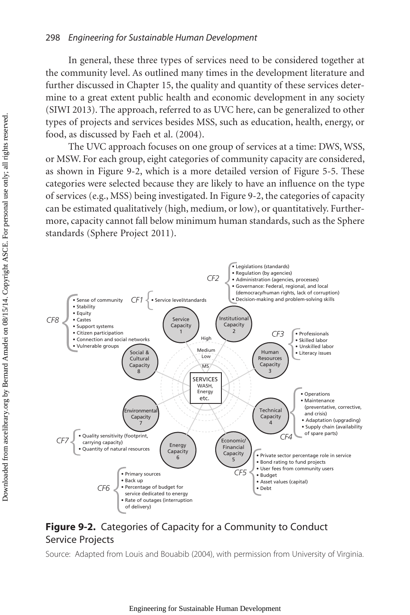#### 298 *Engineering for Sustainable Human Development*

In general, these three types of services need to be considered together at the community level. As outlined many times in the development literature and further discussed in Chapter 15, the quality and quantity of these services determine to a great extent public health and economic development in any society (SIWI 2013). The approach, referred to as UVC here, can be generalized to other types of projects and services besides MSS, such as education, health, energy, or food, as discussed by Faeh et al. (2004).

The UVC approach focuses on one group of services at a time: DWS, WSS, or MSW. For each group, eight categories of community capacity are considered, as shown in Figure 9-2, which is a more detailed version of Figure 5-5. These categories were selected because they are likely to have an influence on the type of services (e.g., MSS) being investigated. In Figure 9-2, the categories of capacity can be estimated qualitatively (high, medium, or low), or quantitatively. Furthermore, capacity cannot fall below minimum human standards, such as the Sphere standards (Sphere Project 2011).



#### Figure 9-2. Categories of Capacity for a Community to Conduct Service Projects

Source: Adapted from Louis and Bouabib (2004), with permission from University of Virginia.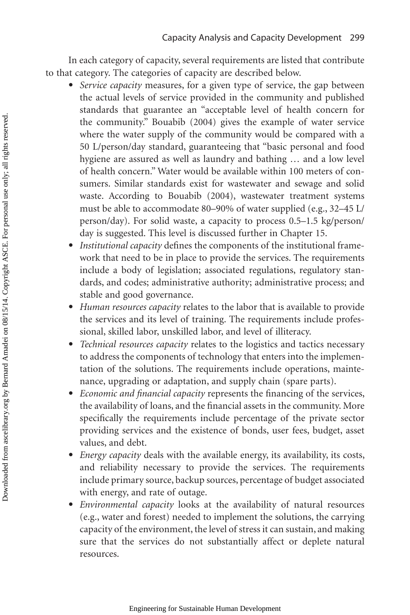In each category of capacity, several requirements are listed that contribute to that category. The categories of capacity are described below.

- *Service capacity* measures, for a given type of service, the gap between the actual levels of service provided in the community and published standards that guarantee an "acceptable level of health concern for the community." Bouabib (2004) gives the example of water service where the water supply of the community would be compared with a 50 L/person/day standard, guaranteeing that "basic personal and food hygiene are assured as well as laundry and bathing … and a low level of health concern." Water would be available within 100 meters of consumers. Similar standards exist for wastewater and sewage and solid waste. According to Bouabib (2004), wastewater treatment systems must be able to accommodate 80–90% of water supplied (e.g., 32–45 L/ person/day). For solid waste, a capacity to process 0.5–1.5 kg/person/ day is suggested. This level is discussed further in Chapter 15.
- *Institutional capacity* defines the components of the institutional framework that need to be in place to provide the services. The requirements include a body of legislation; associated regulations, regulatory standards, and codes; administrative authority; administrative process; and stable and good governance.
- *Human resources capacity* relates to the labor that is available to provide the services and its level of training. The requirements include professional, skilled labor, unskilled labor, and level of illiteracy.
- *Technical resources capacity* relates to the logistics and tactics necessary to address the components of technology that enters into the implementation of the solutions. The requirements include operations, maintenance, upgrading or adaptation, and supply chain (spare parts).
- *Economic and financial capacity* represents the financing of the services, the availability of loans, and the financial assets in the community. More specifically the requirements include percentage of the private sector providing services and the existence of bonds, user fees, budget, asset values, and debt.
- *Energy capacity* deals with the available energy, its availability, its costs, and reliability necessary to provide the services. The requirements include primary source, backup sources, percentage of budget associated with energy, and rate of outage.
- *Environmental capacity* looks at the availability of natural resources (e.g., water and forest) needed to implement the solutions, the carrying capacity of the environment, the level of stress it can sustain, and making sure that the services do not substantially affect or deplete natural resources.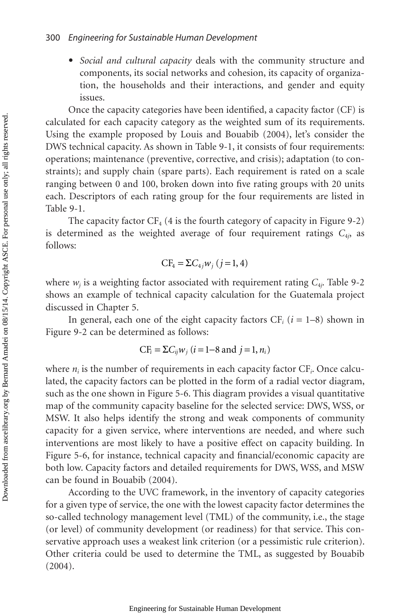• *Social and cultural capacity* deals with the community structure and components, its social networks and cohesion, its capacity of organization, the households and their interactions, and gender and equity issues.

Once the capacity categories have been identified, a capacity factor (CF) is calculated for each capacity category as the weighted sum of its requirements. Using the example proposed by Louis and Bouabib (2004), let's consider the DWS technical capacity. As shown in Table 9-1, it consists of four requirements: operations; maintenance (preventive, corrective, and crisis); adaptation (to constraints); and supply chain (spare parts). Each requirement is rated on a scale ranging between 0 and 100, broken down into five rating groups with 20 units each. Descriptors of each rating group for the four requirements are listed in Table 9-1.

The capacity factor  $CF_4$  (4 is the fourth category of capacity in Figure 9-2) is determined as the weighted average of four requirement ratings  $C_{4i}$ , as follows:

$$
CF_4 = \Sigma C_{4j} w_j (j=1,4)
$$

where  $w_i$  is a weighting factor associated with requirement rating  $C_{4i}$ . Table 9-2 shows an example of technical capacity calculation for the Guatemala project discussed in Chapter 5.

In general, each one of the eight capacity factors  $CF_i$  ( $i = 1-8$ ) shown in Figure 9-2 can be determined as follows:

$$
CF_i = \sum C_{ij} w_j
$$
 (*i* = 1–8 and *j* = 1, *n<sub>i</sub>*)

where  $n_i$  is the number of requirements in each capacity factor  $CF_i$ . Once calculated, the capacity factors can be plotted in the form of a radial vector diagram, such as the one shown in Figure 5-6. This diagram provides a visual quantitative map of the community capacity baseline for the selected service: DWS, WSS, or MSW. It also helps identify the strong and weak components of community capacity for a given service, where interventions are needed, and where such interventions are most likely to have a positive effect on capacity building. In Figure 5-6, for instance, technical capacity and financial/economic capacity are both low. Capacity factors and detailed requirements for DWS, WSS, and MSW can be found in Bouabib (2004).

According to the UVC framework, in the inventory of capacity categories for a given type of service, the one with the lowest capacity factor determines the so-called technology management level (TML) of the community, i.e., the stage (or level) of community development (or readiness) for that service. This conservative approach uses a weakest link criterion (or a pessimistic rule criterion). Other criteria could be used to determine the TML, as suggested by Bouabib (2004).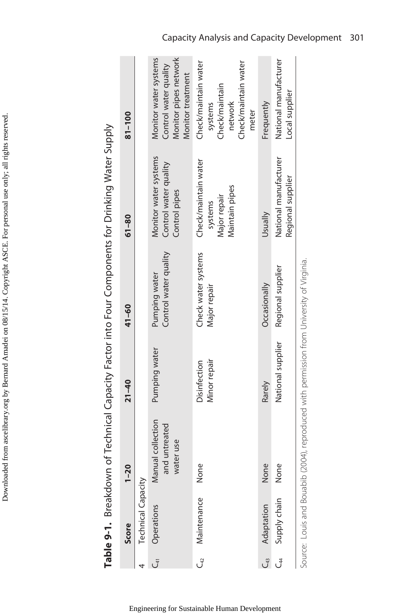|                 |                           |                                                                                           |                              |                                        | <b>Lable &gt; -1. Direct Discussion Control College Capacity Faculture College Capacity College Street Direct Direct Property College Property College Capacity College Property College Property College Property College Property</b> |                                                                                               |
|-----------------|---------------------------|-------------------------------------------------------------------------------------------|------------------------------|----------------------------------------|-----------------------------------------------------------------------------------------------------------------------------------------------------------------------------------------------------------------------------------------|-----------------------------------------------------------------------------------------------|
|                 | Score                     | $1 - 20$                                                                                  | $21 - 40$                    | $41 - 60$                              | $61 - 80$                                                                                                                                                                                                                               | $81 - 100$                                                                                    |
|                 | <b>Technical Capacity</b> |                                                                                           |                              |                                        |                                                                                                                                                                                                                                         |                                                                                               |
| $\vec{C}$       | Operations                | Manual collection<br>and untreated<br>water use                                           | Pumping water                | Control water quality<br>Pumping water | Monitor water systems<br>Control water quality<br>Control pipes                                                                                                                                                                         | Monitor pipes network<br>Monitor water systems<br>Control water quality<br>Monitor treatment  |
| $\mathcal{G}^2$ | Maintenance               | None                                                                                      | Minor repair<br>Disinfection | Check water systems<br>Major repair    | Check/maintain water<br>Maintain pipes<br>Major repair<br>systems                                                                                                                                                                       | Check/maintain water<br>Check/maintain water<br>Check/maintain<br>network<br>systems<br>meter |
| ၟ               | Adaptation                | None                                                                                      | Rarely                       | Occasionally                           | <b>Usually</b>                                                                                                                                                                                                                          | Frequently                                                                                    |
| $\mathcal{C}_4$ | Supply chain              | None                                                                                      | National supplier            | Regional supplier                      | National manufacturer<br>Regional supplier                                                                                                                                                                                              | National manufacturer<br>Local supplier                                                       |
|                 |                           | Source: Louis and Bouabib (2004), reproduced with permission from University of Virginia. |                              |                                        |                                                                                                                                                                                                                                         |                                                                                               |

of Technical Capacity Eactor into Four Components for Drinking Water Supply Table 9-1. Breakdown of Technical Capacity Factor into Four Components for Drinking Water Supply **Rraakdown**  $\cdot$ Table 9-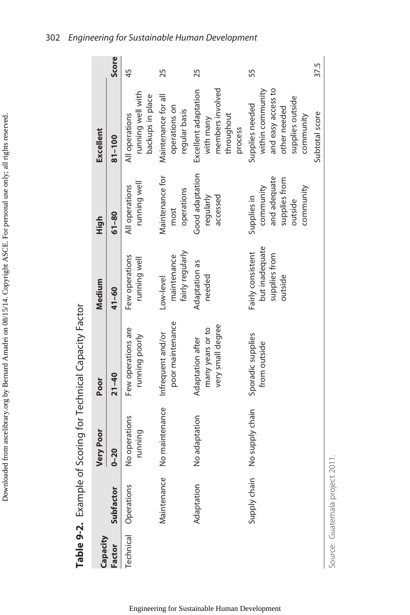|          |                             |                          | Table 9-2. Example of Scoring for Technical Capacity Factor |                                                                 |                                                                                   |                                                                                                            |       |
|----------|-----------------------------|--------------------------|-------------------------------------------------------------|-----------------------------------------------------------------|-----------------------------------------------------------------------------------|------------------------------------------------------------------------------------------------------------|-------|
| Capacity |                             | <b>Very Poor</b>         | Poor                                                        | Medium                                                          | High                                                                              | <b>Excellent</b>                                                                                           |       |
| Factor   | Subfactor                   | $0 - 20$                 | $21 - 40$                                                   | $41 - 60$                                                       | $61 - 80$                                                                         | 81-100                                                                                                     | Score |
|          | <b>Fechnical</b> Operations | No operations<br>running | Few operations are<br>running poorly                        | Few operations<br>running well                                  | running well<br>All operations                                                    | running well with<br>backups in place<br>All operations                                                    | 45    |
|          | Maintenance                 | No maintenance           | poor maintenance<br>Infrequent and/or                       | fairly regularly<br>maintenance<br>Low-level                    | Maintenance for<br>operations<br>most                                             | Maintenance for all<br>operations on<br>regular basis                                                      | 25    |
|          | Adaptation                  | No adaptation            | very small degree<br>many years or to<br>Adaptation after   | Adaptation as<br>needed                                         | Good adaptation<br>regularly<br>accessed                                          | members involved<br>Excellent adaptation<br>throughout<br>with many<br>process                             | 25    |
|          | Supply chain                | No supply chain          | Sporadic supplies<br>from outside                           | but inadequate<br>Fairly consistent<br>supplies from<br>outside | and adequate<br>supplies from<br>community<br>community<br>Supplies in<br>outside | and easy access to<br>within community<br>supplies outside<br>Supplies needed<br>other needed<br>community | 55    |
|          |                             |                          |                                                             |                                                                 |                                                                                   | Subtotal score                                                                                             | 37.5  |

Engineering for Sustainable Human Development

Source: Guatemala project 2011.

Source: Guatemala project 2011.

#### 302 *Engineering for Sustainable Human Development*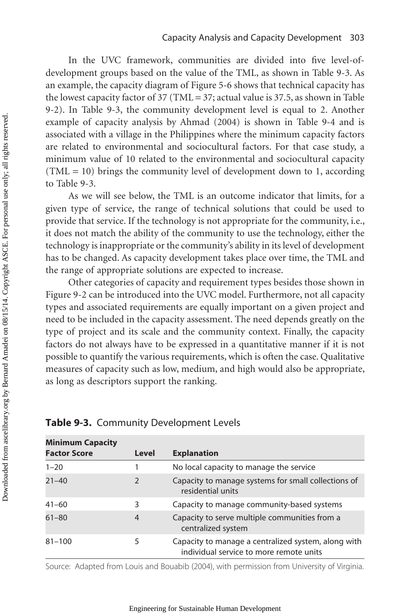In the UVC framework, communities are divided into five level-ofdevelopment groups based on the value of the TML, as shown in Table 9-3. As an example, the capacity diagram of Figure 5-6 shows that technical capacity has the lowest capacity factor of  $37$  (TML =  $37$ ; actual value is  $37.5$ , as shown in Table 9-2). In Table 9-3, the community development level is equal to 2. Another example of capacity analysis by Ahmad (2004) is shown in Table 9-4 and is associated with a village in the Philippines where the minimum capacity factors are related to environmental and sociocultural factors. For that case study, a minimum value of 10 related to the environmental and sociocultural capacity  $(TML = 10)$  brings the community level of development down to 1, according to Table 9-3.

As we will see below, the TML is an outcome indicator that limits, for a given type of service, the range of technical solutions that could be used to provide that service. If the technology is not appropriate for the community, i.e., it does not match the ability of the community to use the technology, either the technology is inappropriate or the community's ability in its level of development has to be changed. As capacity development takes place over time, the TML and the range of appropriate solutions are expected to increase.

Other categories of capacity and requirement types besides those shown in Figure 9-2 can be introduced into the UVC model. Furthermore, not all capacity types and associated requirements are equally important on a given project and need to be included in the capacity assessment. The need depends greatly on the type of project and its scale and the community context. Finally, the capacity factors do not always have to be expressed in a quantitative manner if it is not possible to quantify the various requirements, which is often the case. Qualitative measures of capacity such as low, medium, and high would also be appropriate, as long as descriptors support the ranking.

|  |  | Table 9-3. Community Development Levels |  |
|--|--|-----------------------------------------|--|
|--|--|-----------------------------------------|--|

| <b>Minimum Capacity</b> |                |                                                                                                |
|-------------------------|----------------|------------------------------------------------------------------------------------------------|
| <b>Factor Score</b>     | Level          | <b>Explanation</b>                                                                             |
| $1 - 20$                |                | No local capacity to manage the service                                                        |
| $21 - 40$               | $\overline{2}$ | Capacity to manage systems for small collections of<br>residential units                       |
| $41 - 60$               | 3              | Capacity to manage community-based systems                                                     |
| $61 - 80$               | $\overline{4}$ | Capacity to serve multiple communities from a<br>centralized system                            |
| $81 - 100$              | 5              | Capacity to manage a centralized system, along with<br>individual service to more remote units |

Source: Adapted from Louis and Bouabib (2004), with permission from University of Virginia.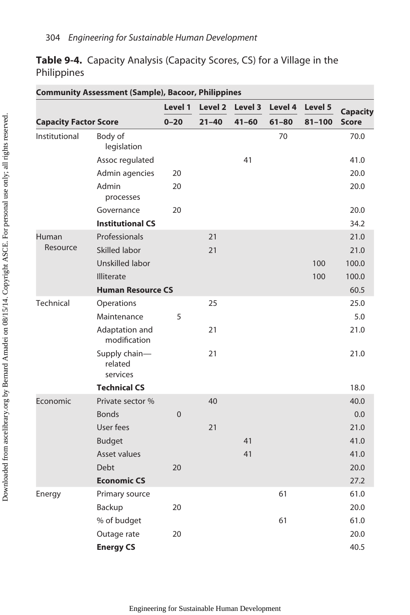| Table 9-4. Capacity Analysis (Capacity Scores, CS) for a Village in the |  |  |  |  |  |
|-------------------------------------------------------------------------|--|--|--|--|--|
| Philippines                                                             |  |  |  |  |  |

|                              | <b>Community Assessment (Sample), Bacoor, Philippines</b> |                  |           |           |           |            |                 |
|------------------------------|-----------------------------------------------------------|------------------|-----------|-----------|-----------|------------|-----------------|
|                              |                                                           | Level 1          | Level 2   | Level 3   | Level 4   | Level 5    | <b>Capacity</b> |
| <b>Capacity Factor Score</b> |                                                           | $0 - 20$         | $21 - 40$ | $41 - 60$ | $61 - 80$ | $81 - 100$ | <b>Score</b>    |
| Institutional                | Body of<br>legislation                                    |                  |           |           | 70        |            | 70.0            |
|                              | Assoc regulated                                           |                  |           | 41        |           |            | 41.0            |
|                              | Admin agencies                                            | 20               |           |           |           |            | 20.0            |
|                              | Admin<br>processes                                        | 20               |           |           |           |            | 20.0            |
|                              | Governance                                                | 20               |           |           |           |            | 20.0            |
|                              | <b>Institutional CS</b>                                   |                  |           |           |           |            | 34.2            |
| Human                        | Professionals                                             |                  | 21        |           |           |            | 21.0            |
| Resource                     | Skilled labor                                             |                  | 21        |           |           |            | 21.0            |
|                              | Unskilled labor                                           |                  |           |           |           | 100        | 100.0           |
|                              | <b>Illiterate</b>                                         |                  |           |           |           | 100        | 100.0           |
|                              | <b>Human Resource CS</b>                                  |                  |           |           |           |            | 60.5            |
| Technical                    | Operations                                                |                  | 25        |           |           |            | 25.0            |
|                              | Maintenance                                               | 5                |           |           |           |            | 5.0             |
|                              | Adaptation and<br>modification                            |                  | 21        |           |           |            | 21.0            |
|                              | Supply chain-<br>related<br>services                      |                  | 21        |           |           |            | 21.0            |
|                              | <b>Technical CS</b>                                       |                  |           |           |           |            | 18.0            |
| Economic                     | Private sector %                                          |                  | 40        |           |           |            | 40.0            |
|                              | <b>Bonds</b>                                              | $\boldsymbol{0}$ |           |           |           |            | 0.0             |
|                              | User fees                                                 |                  | 21        |           |           |            | 21.0            |
|                              | <b>Budget</b>                                             |                  |           | 41        |           |            | 41.0            |
|                              | Asset values                                              |                  |           | 41        |           |            | 41.0            |
|                              | Debt                                                      | 20               |           |           |           |            | 20.0            |
|                              | <b>Economic CS</b>                                        |                  |           |           |           |            | 27.2            |
| Energy                       | Primary source                                            |                  |           |           | 61        |            | 61.0            |
|                              | Backup                                                    | 20               |           |           |           |            | 20.0            |
|                              | % of budget                                               |                  |           |           | 61        |            | 61.0            |
|                              | Outage rate                                               | 20               |           |           |           |            | 20.0            |
|                              | <b>Energy CS</b>                                          |                  |           |           |           |            | 40.5            |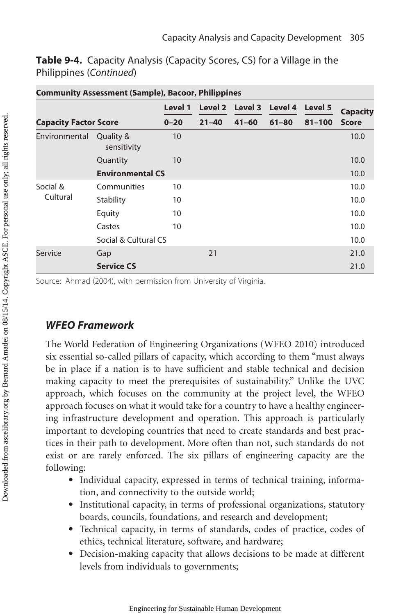|                              | <b>Community Assessment (Sample), Bacoor, Philippines</b> |          |           |           |                |            |                 |
|------------------------------|-----------------------------------------------------------|----------|-----------|-----------|----------------|------------|-----------------|
|                              |                                                           | Level 1  | Level 2   | Level 3   | <b>Level 4</b> | Level 5    | <b>Capacity</b> |
| <b>Capacity Factor Score</b> |                                                           | $0 - 20$ | $21 - 40$ | $41 - 60$ | $61 - 80$      | $81 - 100$ | <b>Score</b>    |
| Environmental                | Quality &<br>sensitivity                                  | 10       |           |           |                |            | 10.0            |
|                              | Quantity                                                  | 10       |           |           |                |            | 10.0            |
|                              | <b>Environmental CS</b>                                   |          |           |           |                |            | 10.0            |
| Social &                     | Communities                                               | 10       |           |           |                |            | 10.0            |
| Cultural                     | Stability                                                 | 10       |           |           |                |            | 10.0            |
|                              | Equity                                                    | 10       |           |           |                |            | 10.0            |
|                              | Castes                                                    | 10       |           |           |                |            | 10.0            |
|                              | Social & Cultural CS                                      |          |           |           |                |            | 10.0            |
| Service                      | Gap                                                       |          | 21        |           |                |            | 21.0            |
|                              | <b>Service CS</b>                                         |          |           |           |                |            | 21.0            |

Table 9-4. Capacity Analysis (Capacity Scores, CS) for a Village in the Philippines (*Continued*)

Source: Ahmad (2004), with permission from University of Virginia.

#### *WFEO Framework*

The World Federation of Engineering Organizations (WFEO 2010) introduced six essential so-called pillars of capacity, which according to them "must always be in place if a nation is to have sufficient and stable technical and decision making capacity to meet the prerequisites of sustainability." Unlike the UVC approach, which focuses on the community at the project level, the WFEO approach focuses on what it would take for a country to have a healthy engineering infrastructure development and operation. This approach is particularly important to developing countries that need to create standards and best practices in their path to development. More often than not, such standards do not exist or are rarely enforced. The six pillars of engineering capacity are the following:

- Individual capacity, expressed in terms of technical training, information, and connectivity to the outside world;
- Institutional capacity, in terms of professional organizations, statutory boards, councils, foundations, and research and development;
- Technical capacity, in terms of standards, codes of practice, codes of ethics, technical literature, software, and hardware;
- Decision-making capacity that allows decisions to be made at different levels from individuals to governments;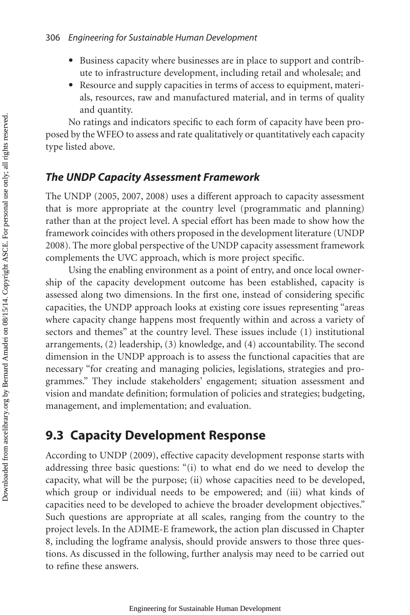- Business capacity where businesses are in place to support and contribute to infrastructure development, including retail and wholesale; and
- Resource and supply capacities in terms of access to equipment, materials, resources, raw and manufactured material, and in terms of quality and quantity.

No ratings and indicators specific to each form of capacity have been proposed by the WFEO to assess and rate qualitatively or quantitatively each capacity type listed above.

#### *The UNDP Capacity Assessment Framework*

The UNDP (2005, 2007, 2008) uses a different approach to capacity assessment that is more appropriate at the country level (programmatic and planning) rather than at the project level. A special effort has been made to show how the framework coincides with others proposed in the development literature (UNDP 2008). The more global perspective of the UNDP capacity assessment framework complements the UVC approach, which is more project specific.

Using the enabling environment as a point of entry, and once local ownership of the capacity development outcome has been established, capacity is assessed along two dimensions. In the first one, instead of considering specific capacities, the UNDP approach looks at existing core issues representing "areas where capacity change happens most frequently within and across a variety of sectors and themes" at the country level. These issues include (1) institutional arrangements, (2) leadership, (3) knowledge, and (4) accountability. The second dimension in the UNDP approach is to assess the functional capacities that are necessary "for creating and managing policies, legislations, strategies and programmes." They include stakeholders' engagement; situation assessment and vision and mandate definition; formulation of policies and strategies; budgeting, management, and implementation; and evaluation.

### 9.3 Capacity Development Response

According to UNDP (2009), effective capacity development response starts with addressing three basic questions: "(i) to what end do we need to develop the capacity, what will be the purpose; (ii) whose capacities need to be developed, which group or individual needs to be empowered; and (iii) what kinds of capacities need to be developed to achieve the broader development objectives." Such questions are appropriate at all scales, ranging from the country to the project levels. In the ADIME-E framework, the action plan discussed in Chapter 8, including the logframe analysis, should provide answers to those three questions. As discussed in the following, further analysis may need to be carried out to refine these answers.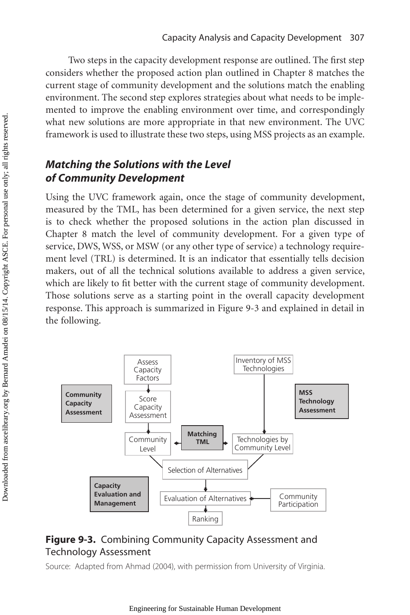Two steps in the capacity development response are outlined. The first step considers whether the proposed action plan outlined in Chapter 8 matches the current stage of community development and the solutions match the enabling environment. The second step explores strategies about what needs to be implemented to improve the enabling environment over time, and correspondingly what new solutions are more appropriate in that new environment. The UVC framework is used to illustrate these two steps, using MSS projects as an example.

#### *Matching the Solutions with the Level of Community Development*

Using the UVC framework again, once the stage of community development, measured by the TML, has been determined for a given service, the next step is to check whether the proposed solutions in the action plan discussed in Chapter 8 match the level of community development. For a given type of service, DWS, WSS, or MSW (or any other type of service) a technology requirement level (TRL) is determined. It is an indicator that essentially tells decision makers, out of all the technical solutions available to address a given service, which are likely to fit better with the current stage of community development. Those solutions serve as a starting point in the overall capacity development response. This approach is summarized in Figure 9-3 and explained in detail in the following.



#### Figure 9-3. Combining Community Capacity Assessment and Technology Assessment

Source: Adapted from Ahmad (2004), with permission from University of Virginia.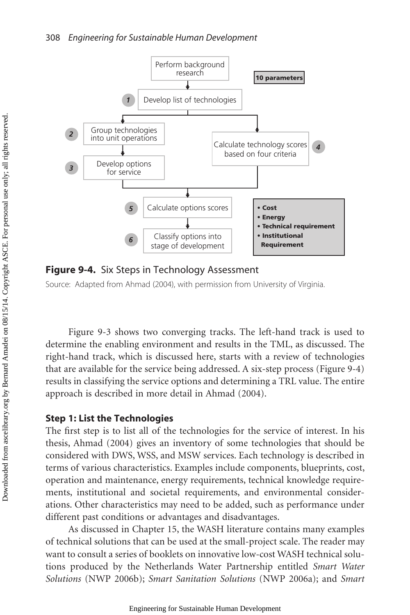

**Figure 9-4.** Six Steps in Technology Assessment

Source: Adapted from Ahmad (2004), with permission from University of Virginia.

Figure 9-3 shows two converging tracks. The left-hand track is used to determine the enabling environment and results in the TML, as discussed. The right-hand track, which is discussed here, starts with a review of technologies that are available for the service being addressed. A six-step process (Figure 9-4) results in classifying the service options and determining a TRL value. The entire approach is described in more detail in Ahmad (2004).

#### Step 1: List the Technologies

The first step is to list all of the technologies for the service of interest. In his thesis, Ahmad (2004) gives an inventory of some technologies that should be considered with DWS, WSS, and MSW services. Each technology is described in terms of various characteristics. Examples include components, blueprints, cost, operation and maintenance, energy requirements, technical knowledge requirements, institutional and societal requirements, and environmental considerations. Other characteristics may need to be added, such as performance under different past conditions or advantages and disadvantages.

As discussed in Chapter 15, the WASH literature contains many examples of technical solutions that can be used at the small-project scale. The reader may want to consult a series of booklets on innovative low-cost WASH technical solutions produced by the Netherlands Water Partnership entitled *Smart Water Solutions* (NWP 2006b); *Smart Sanitation Solutions* (NWP 2006a); and *Smart*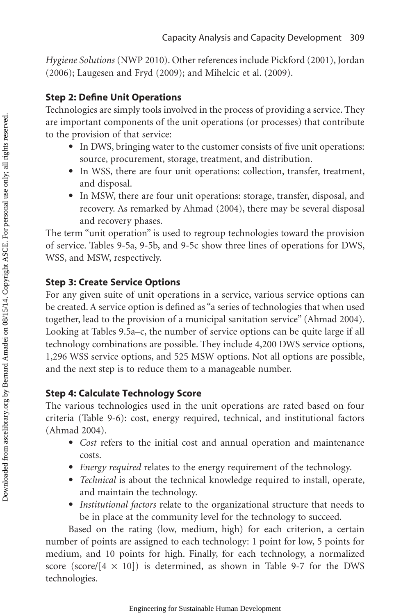*Hygiene Solutions* (NWP 2010). Other references include Pickford (2001), Jordan (2006); Laugesen and Fryd (2009); and Mihelcic et al. (2009).

#### Step 2: Define Unit Operations

Technologies are simply tools involved in the process of providing a service. They are important components of the unit operations (or processes) that contribute to the provision of that service:

- In DWS, bringing water to the customer consists of five unit operations: source, procurement, storage, treatment, and distribution.
- In WSS, there are four unit operations: collection, transfer, treatment, and disposal.
- In MSW, there are four unit operations: storage, transfer, disposal, and recovery. As remarked by Ahmad (2004), there may be several disposal and recovery phases.

The term "unit operation" is used to regroup technologies toward the provision of service. Tables 9-5a, 9-5b, and 9-5c show three lines of operations for DWS, WSS, and MSW, respectively.

#### Step 3: Create Service Options

For any given suite of unit operations in a service, various service options can be created. A service option is defined as "a series of technologies that when used together, lead to the provision of a municipal sanitation service" (Ahmad 2004). Looking at Tables 9.5a–c, the number of service options can be quite large if all technology combinations are possible. They include 4,200 DWS service options, 1,296 WSS service options, and 525 MSW options. Not all options are possible, and the next step is to reduce them to a manageable number.

#### Step 4: Calculate Technology Score

The various technologies used in the unit operations are rated based on four criteria (Table 9-6): cost, energy required, technical, and institutional factors (Ahmad 2004).

- *Cost* refers to the initial cost and annual operation and maintenance costs.
- *Energy required* relates to the energy requirement of the technology.
- *Technical* is about the technical knowledge required to install, operate, and maintain the technology.
- *Institutional factors* relate to the organizational structure that needs to be in place at the community level for the technology to succeed.

Based on the rating (low, medium, high) for each criterion, a certain number of points are assigned to each technology: 1 point for low, 5 points for medium, and 10 points for high. Finally, for each technology, a normalized score (score/[ $4 \times 10$ ]) is determined, as shown in Table 9-7 for the DWS technologies.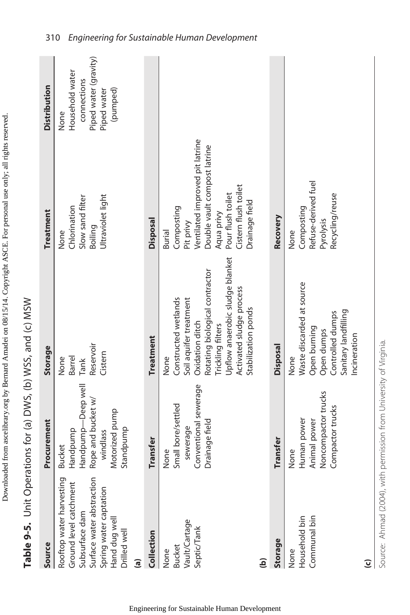| Source                                                                                                                                                                        | Procurement                                                                                                      | <b>Storage</b>                                                                                                                                                                                                         | <b>Treatment</b>                                                                                                                                                                        | <b>Distribution</b>                                                                        |
|-------------------------------------------------------------------------------------------------------------------------------------------------------------------------------|------------------------------------------------------------------------------------------------------------------|------------------------------------------------------------------------------------------------------------------------------------------------------------------------------------------------------------------------|-----------------------------------------------------------------------------------------------------------------------------------------------------------------------------------------|--------------------------------------------------------------------------------------------|
| Rooftop water harvesting<br>Surface water abstraction<br>Ground level catchment<br>Spring water captation<br>Hand dug well<br>Subsurface dam<br>Drilled well<br>$\widehat{a}$ | Handpump-Deep well<br>Rope and bucket w/<br>Motorized pump<br>Standpump<br>Handpump<br>windlass<br><b>Bucket</b> | Reservoir<br>Cistern<br><b>Barrel</b><br>None<br>Tank                                                                                                                                                                  | Ultraviolet light<br>Slow sand filter<br>Chlorination<br>Boiling<br>None                                                                                                                | Piped water (gravity)<br>Household water<br>connections<br>(pumped)<br>Piped water<br>None |
| Collection                                                                                                                                                                    | Transfer                                                                                                         | <b>Treatment</b>                                                                                                                                                                                                       | <b>Disposal</b>                                                                                                                                                                         |                                                                                            |
| Vault/Cartage<br>Septic/Tank<br>None<br>Bucket                                                                                                                                | Conventional sewerage<br>Small bore/settled<br>Drainage field<br>sewerage<br>None                                | Upflow anaerobic sludge blanket<br>Rotating biological contractor<br>Activated sludge process<br>Constructed wetlands<br>Soil aquifer treatment<br>Stabilization ponds<br>Oxidation ditch<br>Trickling filters<br>None | Ventilated improved pit latrine<br>Double vault compost latrine<br>Cistem flush toilet<br>Pour flush toilet<br>Drainage field<br>Composting<br>Aqua privy<br>Pit privy<br><b>Burial</b> |                                                                                            |
| වු                                                                                                                                                                            |                                                                                                                  |                                                                                                                                                                                                                        |                                                                                                                                                                                         |                                                                                            |
| <b>Storage</b>                                                                                                                                                                | <b>Transfer</b>                                                                                                  | <b>Disposal</b>                                                                                                                                                                                                        | Recovery                                                                                                                                                                                |                                                                                            |
| Communal bin<br>Household bin<br>None                                                                                                                                         | Noncompactor trucks<br>Compactor trucks<br>Human power<br>Animal power<br>None                                   | Waste discarded at source<br>Sanitary landfilling<br>Controlled dumps<br>Open burning<br>Open dumps<br>Incineration<br>None                                                                                            | Refuse-derived fuel<br>Recycling/reuse<br>Composting<br>Pyrolysis<br>None                                                                                                               |                                                                                            |
|                                                                                                                                                                               |                                                                                                                  |                                                                                                                                                                                                                        |                                                                                                                                                                                         |                                                                                            |

Downloaded from ascelibrary.org by Bernard Amadei on 08/15/14. Copyright ASCE. For personal use only; all rights reserved.

Downloaded from ascelibrary org by Bernard Amadei on 08/15/14. Copyright ASCE. For personal use only; all rights reserved.

 $\overline{\mathtt{e}}$ 

Source: Ahmad (2004), with permission from University of Virginia.

Source: Ahmad (2004), with permission from University of Virginia.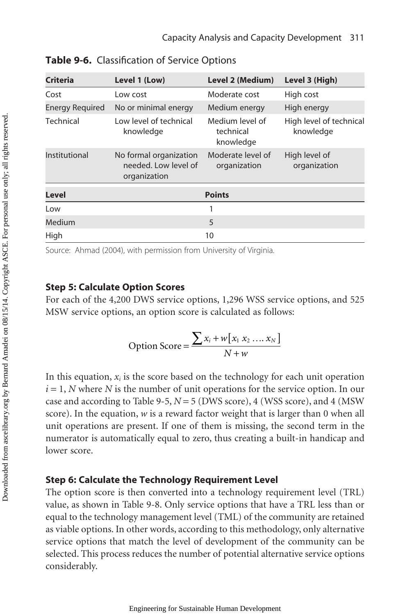| <b>Criteria</b>        | Level 1 (Low)                                                   | Level 2 (Medium)                          | Level 3 (High)                       |  |
|------------------------|-----------------------------------------------------------------|-------------------------------------------|--------------------------------------|--|
| Cost                   | Low cost                                                        | Moderate cost                             | High cost                            |  |
| <b>Energy Required</b> | No or minimal energy                                            | Medium energy                             | High energy                          |  |
| Technical              | Low level of technical<br>knowledge                             | Medium level of<br>technical<br>knowledge | High level of technical<br>knowledge |  |
| Institutional          | No formal organization<br>needed. I ow level of<br>organization | Moderate level of<br>organization         | High level of<br>organization        |  |
| Level                  |                                                                 |                                           |                                      |  |
| Low                    |                                                                 |                                           |                                      |  |
| Medium                 |                                                                 | 5                                         |                                      |  |
| High                   |                                                                 | 10                                        |                                      |  |

**Table 9-6.** Classification of Service Options

Source: Ahmad (2004), with permission from University of Virginia.

#### Step 5: Calculate Option Scores

For each of the 4,200 DWS service options, 1,296 WSS service options, and 525 MSW service options, an option score is calculated as follows:

Option Score = 
$$
\frac{\sum x_i + w[x_1 x_2 \dots x_N]}{N + w}
$$

In this equation,  $x_i$  is the score based on the technology for each unit operation *i* = 1, *N* where *N* is the number of unit operations for the service option. In our case and according to Table 9-5, *N* = 5 (DWS score), 4 (WSS score), and 4 (MSW score). In the equation, *w* is a reward factor weight that is larger than 0 when all unit operations are present. If one of them is missing, the second term in the numerator is automatically equal to zero, thus creating a built-in handicap and lower score.

#### Step 6: Calculate the Technology Requirement Level

The option score is then converted into a technology requirement level (TRL) value, as shown in Table 9-8. Only service options that have a TRL less than or equal to the technology management level (TML) of the community are retained as viable options. In other words, according to this methodology, only alternative service options that match the level of development of the community can be selected. This process reduces the number of potential alternative service options considerably.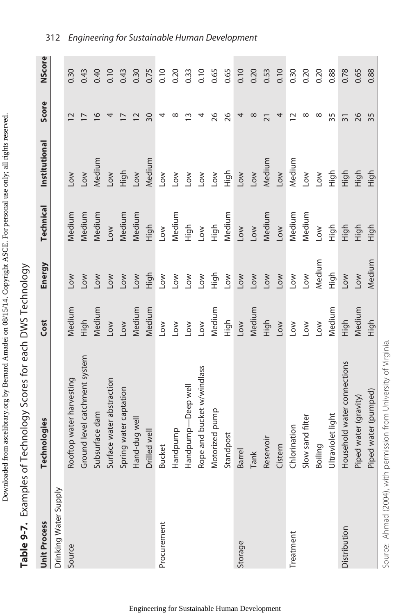Downloaded from ascelibrary org by Bernard Amadei on 08/15/14. Copyright ASCE. For personal use only; all rights reserved. Downloaded from ascelibrary.org by Bernard Amadei on 08/15/14. Copyright ASCE. For personal use only; all rights reserved.

Table 9-7. Examples of Technology Scores for each DWS Technology

Table 9-7. Examples of Technology Scores for each DWS Technology

| <b>Unit Process</b>   | Technologies                  | Cost                     | Energy                   | <b>Technical</b>         | Institutional            | Score                    | <b>NScore</b> |
|-----------------------|-------------------------------|--------------------------|--------------------------|--------------------------|--------------------------|--------------------------|---------------|
| Drinking Water Supply |                               |                          |                          |                          |                          |                          |               |
| Source                | Rooftop water harvesting      | Medium                   | $\geq$                   | Medium                   | $\sim$                   | $\overline{C}$           | 0.30          |
|                       | Ground level catchment system | High                     | $\sim$                   | Medium                   | Low                      | $\supset$                | 0.43          |
|                       | Subsurface dam                | Medium                   | Low                      | Medium                   | Medium                   | $\frac{6}{2}$            | 0.40          |
|                       | Surface water abstraction     | Low                      | <b>NOT</b>               | Low                      | Low                      | 4                        | 0.10          |
|                       | Spring water captation        | Low                      | Low                      | Medium                   | High                     | $\overline{\phantom{0}}$ | 0.43          |
|                       | Hand-dug well                 | Medium                   | Low                      | Medium                   | Low                      | $\overline{2}$           | 0.30          |
|                       | Drilled well                  | Medium                   | High                     | High                     | Medium                   | $\overline{50}$          | 0.75          |
| Procurement           | <b>Bucket</b>                 | $\sum_{i=1}^{n}$         | $\sim$                   | $\overline{\phantom{0}}$ | $\sum_{i=1}^{n}$         | 4                        | 0.10          |
|                       | Handpump                      | $\overline{\phantom{0}}$ | $\overline{\phantom{0}}$ | Medium                   | $\overline{\phantom{0}}$ | ∞                        | 0.20          |
|                       | Handpump—Deep well            | Low                      | $\overline{\phantom{0}}$ | High                     | $\sim$                   | m                        | 0.33          |
|                       | Rope and bucket w/windlass    | $\sum_{i=1}^{n}$         | $\overline{\phantom{0}}$ | Low                      | $\sim$                   | 4                        | 0.10          |
|                       | Motorized pump                | Medium                   | High                     | High                     | $\sim$                   | 26                       | 0.65          |
|                       | Standpost                     | High                     | $\sum_{i=1}^{\infty}$    | Medium                   | High                     | 26                       | 0.65          |
| Storage               | <b>Barrel</b>                 | Low                      | <b>NOT</b>               | Low                      | $\sim$                   | 4                        | 0.10          |
|                       | Tank                          | Medium                   | Low                      | Low                      | Low                      | ∞                        | 0.20          |
|                       | Reservoir                     | High                     | <b>NOT</b>               | Medium                   | Medium                   | 21                       | 0.53          |
|                       | Cistern                       | Low                      | Low                      | Low                      | Low                      | 4                        | 0.10          |
| Treatment             | Chlorination                  | $\overline{\phantom{0}}$ | $\overline{\phantom{0}}$ | Medium                   | Medium                   | $\overline{c}$           | 0.30          |
|                       | Slow sand filter              | $\overline{\phantom{0}}$ | $\leq$                   | Medium                   | $\overline{\text{Cov}}$  | ∞                        | 0.20          |
|                       | Boiling                       | Low                      | Medium                   | $\sim$                   | Low                      | $\infty$                 | 0.20          |
|                       | Ultraviolet light             | Medium                   | High                     | High                     | High                     | 35                       | 0.88          |
| Distribution          | Household water connections   | High                     | $\overline{10}$          | High                     | High                     | $\overline{31}$          | 0.78          |
|                       | Piped water (gravity)         | Medium                   | Low                      | High                     | High                     | 26                       | 0.65          |
|                       | Piped water (pumped)          | High                     | Medium                   | High                     | High                     | 35                       | 0.88          |

Source: Ahmad (2004), with permission from University of Virginia.

Source: Ahmad (2004), with permission from University of Virginia.

J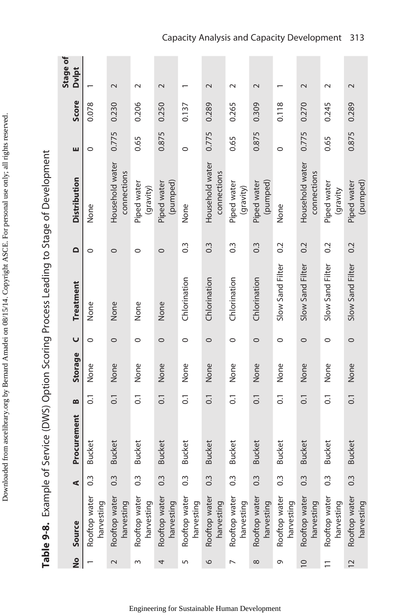| ֘֒<br>í                                                      |
|--------------------------------------------------------------|
|                                                              |
|                                                              |
|                                                              |
|                                                              |
|                                                              |
|                                                              |
| j                                                            |
| ֘֒                                                           |
|                                                              |
| $\frac{1}{2}$                                                |
|                                                              |
|                                                              |
|                                                              |
|                                                              |
|                                                              |
|                                                              |
| i                                                            |
|                                                              |
| ļ<br>l                                                       |
|                                                              |
|                                                              |
|                                                              |
|                                                              |
|                                                              |
|                                                              |
| i                                                            |
| ļ                                                            |
| ֖֖֧ׅ֖֧֧֧֪ׅ֖֧֚֚֚֚֚֚֚֚֚֚֚֚֚֚֚֚֚֚֚֚֚֚֚֚֚֚֚֚֚֚֚֚֚֚֚֚֡֡֝֡֡֓֞֝֞֝֬֝ |
|                                                              |
| l                                                            |
|                                                              |
|                                                              |
|                                                              |
|                                                              |
|                                                              |
|                                                              |
|                                                              |
| ֖֦֧֦֦֖֚֚֚֚֚֚֚֡֝֬                                             |
|                                                              |
|                                                              |
|                                                              |
|                                                              |
| i                                                            |
|                                                              |
|                                                              |
|                                                              |
|                                                              |
|                                                              |
|                                                              |
|                                                              |
|                                                              |
|                                                              |
|                                                              |
|                                                              |
| I                                                            |
|                                                              |
|                                                              |
| ׇׇ֘֝֕֡                                                       |
|                                                              |
|                                                              |
|                                                              |
|                                                              |
| <b>CONTRACTOR</b>                                            |
|                                                              |
|                                                              |
|                                                              |
| ֖֖֖֖֚֚֚֚֚֚֬                                                  |
| l                                                            |
|                                                              |
|                                                              |
|                                                              |
|                                                              |
|                                                              |
|                                                              |
|                                                              |
|                                                              |
|                                                              |
|                                                              |
| ì                                                            |
| <b>CERA</b>                                                  |
| l<br>١                                                       |

| Stage of | <b>Dvlpt</b>        |                             | $\overline{\mathsf{C}}$        | $\sim$                      | $\overline{\mathsf{C}}$     |                             | $\overline{\mathsf{C}}$        |                             | $\sim$                      |                             |
|----------|---------------------|-----------------------------|--------------------------------|-----------------------------|-----------------------------|-----------------------------|--------------------------------|-----------------------------|-----------------------------|-----------------------------|
|          | Score               | 0.078                       | 0.230                          | 0.206                       | 0.250                       | 0.137                       | 0.289                          | 0.265                       | 0.309                       | 0.118                       |
|          | ш                   |                             | 0.775                          | 0.65                        | 0.875                       |                             | 0.775                          | 0.65                        | 0.875                       | 0                           |
|          | <b>Distribution</b> | None                        | Household water<br>connections | Piped water<br>(gravity)    | (pumped)<br>Piped water     | None                        | Household water<br>connections | Piped water<br>(gravity)    | (pumped)<br>Piped water     | None                        |
|          | $\Omega$            | 0                           | $\circ$                        | $\circ$                     | $\circ$                     | $\frac{3}{2}$               | 0.3                            | $\frac{3}{2}$               | $0.\overline{3}$            | 0.2                         |
|          | Treatment           | None                        | None                           | None                        | None                        | Chlorination                | Chlorination                   | Chlorination                | Chlorination                | Slow Sand Filter            |
|          | U                   | $\circ$                     | $\circ$                        | $\circ$                     | $\circ$                     | 0                           | $\circ$                        | $\circ$                     | $\circ$                     | $\circ$                     |
|          | <b>Storage</b>      | None                        | None                           | None                        | None                        | None                        | None                           | None                        | None                        | None                        |
|          | œ                   | $\overline{c}$              | $\overline{0}$                 | $\overline{0}$              | $\overline{0}$              | $\overline{0}$              | $\overline{0}$ .               | $\overline{0}$              | $\overline{0}$              | $\overline{c}$              |
|          | Procurement         | <b>Bucket</b>               | <b>Bucket</b>                  | <b>Bucket</b>               | <b>Bucket</b>               | <b>Bucket</b>               | <b>Bucket</b>                  | Bucket                      | <b>Bucket</b>               | Bucket                      |
|          |                     | $\frac{3}{2}$               | $\frac{3}{2}$                  | $0.\overline{3}$            | $0.\overline{3}$            | $\frac{3}{2}$               | $\frac{3}{2}$                  | $\frac{3}{2}$               | $\frac{3}{2}$               | $0.\overline{3}$            |
|          | No<br>Source        | Rooftop water<br>harvesting | Rooftop water<br>harvesting    | Rooftop water<br>harvesting | Rooftop water<br>harvesting | Rooftop water<br>harvesting | Rooftop water<br>harvesting    | Rooftop water<br>harvesting | Rooftop water<br>harvesting | Rooftop water<br>harvesting |
|          |                     |                             | $\sim$                         | S                           | 4                           | 5                           | $\circ$                        | $\overline{ }$              | $\infty$                    | Q                           |

| l              |
|----------------|
|                |
|                |
| I              |
| $\ddot{\zeta}$ |
|                |
| Ì<br>١         |
|                |
|                |
|                |
| ነ              |
|                |
|                |
| 5<br>)<br>     |
|                |
| cs             |
|                |
|                |
| I              |
| ת<br>:<br>:    |
| :<br>(         |
|                |
| ;<br>:<br>i    |
|                |
|                |
|                |
|                |
| $\frac{1}{2}$  |
|                |
| $\mathbf{r}$   |
|                |
|                |
|                |
|                |
|                |
|                |
| ミヘート・ヘー        |
|                |
|                |
|                |
| I              |
|                |
| Table 9-8.     |
|                |
|                |
|                |
|                |

 $\overline{1}$ 

#### Capacity Analysis and Capacity Development 313

10 Rooftop water harvesting

 $\supseteq$ 

Rooftop water

11 Rooftop water harvesting

 $\overline{1}$ 

Rooftop water

12 Rooftop water harvesting

 $\overline{c}$ 

Rooftop water

0.3 Bucket 0.1 None 0 Slow Sand Filter 0.2 Household water

 $\circ$ 

None

 $\overline{0}$ .

**Bucket** 

 $0.\overline{3}$ 

Slow Sand Filter

0.3 Bucket 0.1 None 0 Slow Sand Filter 0.2 Piped water

 $\circ$ 

None

 $\overline{0}$ 

**Bucket** 

 $0.\overline{3}$ 

0.3 Bucket 0.1 None 0 Slow Sand Filter 0.2 Piped water

 $\circ$ 

None

 $\overline{0}$ .

**Bucket** 

 $0.\overline{3}$ 

connections

(gravity

Piped water

 $0.2$ 

Slow Sand Filter

(pumped)

Piped water

 $0.2$ 

Slow Sand Filter

0.775 0.270 2

0.775

Household water connections

 $0.2$ 

0.270

 $\sim$ 

0.65 0.245 2

0.65

0.245

 $\sim$ 

0.875 0.289 2

0.875

0.289

 $\sim$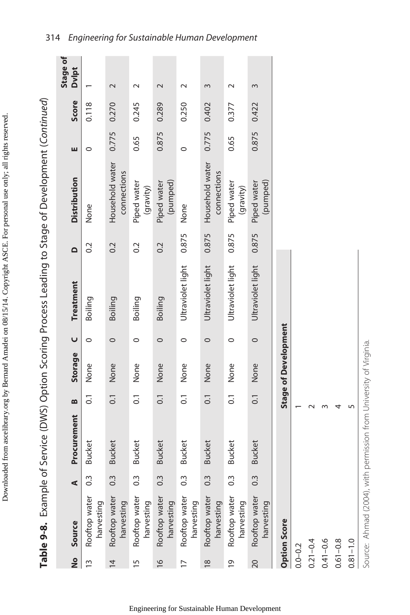Downloaded from ascelibrary.org by Bernard Amadei on 08/15/14. Copyright ASCE. For personal use only; all rights reserved. Downloaded from ascelibrary.org by Bernard Amadei on 08/15/14. Copyright ASCE. For personal use only; all rights reserved.

| $\frac{1}{2}$   | Source                      |                  | Procurement   | $\bf{a}$         | <b>Storage</b>              | $\cup$  | Treatment         | $\Omega$       | <b>Distribution</b>            | Щ       | Score | Stage of<br><b>Dvlpt</b> |
|-----------------|-----------------------------|------------------|---------------|------------------|-----------------------------|---------|-------------------|----------------|--------------------------------|---------|-------|--------------------------|
| $\frac{1}{2}$   | Rooftop water<br>harvesting | $0.\overline{3}$ | <b>Bucket</b> | $\overline{0}$   | None                        | $\circ$ | Boiling           | $\overline{0}$ | None                           | $\circ$ | 0.118 |                          |
| $\overline{4}$  | Rooftop water<br>harvesting | 0.3              | <b>Bucket</b> | $\overline{0}$ . | None                        | $\circ$ | Boiling           | 0.2            | Household water<br>connections | 0.775   | 0.270 | $\sim$                   |
| $\overline{1}$  | Rooftop water<br>harvesting | $0.\overline{3}$ | <b>Bucket</b> | $\overline{0}$   | None                        | $\circ$ | Boiling           | 0.2            | Piped water<br>(gravity)       | 0.65    | 0.245 | $\sim$                   |
| $\frac{1}{6}$   | Rooftop water<br>harvesting | $0.\overline{3}$ | <b>Bucket</b> | $\overline{0}$ . | None                        | $\circ$ | Boiling           | 0.2            | (pumped)<br>Piped water        | 0.875   | 0.289 | $\sim$                   |
| $\overline{17}$ | Rooftop water<br>harvesting | $0.\overline{3}$ | <b>Bucket</b> | $\overline{0}$ . | None                        | $\circ$ | Ultraviolet light | 0.875          | None                           | $\circ$ | 0.250 | $\sim$                   |
| $\frac{8}{1}$   | Rooftop water<br>harvesting | $0.\overline{3}$ | <b>Bucket</b> | $\overline{0}$   | None                        | $\circ$ | Ultraviolet light | 0.875          | Household water<br>connections | 0.775   | 0.402 | $\sim$                   |
| $\overline{0}$  | Rooftop water<br>harvesting | $0.\overline{3}$ | <b>Bucket</b> | $\overline{0}$   | None                        | $\circ$ | Ultraviolet light | 0.875          | Piped water<br>(gravity)       | 0.65    | 0.377 | $\sim$                   |
| 20              | Rooftop water<br>harvesting | $0.\overline{3}$ | <b>Bucket</b> | $\overline{0}$ . | None                        | $\circ$ | Ultraviolet light | 0.875          | (pumped)<br>Piped water        | 0.875   | 0.422 | 3                        |
|                 | <b>Option Score</b>         |                  |               |                  | <b>Stage of Development</b> |         |                   |                |                                |         |       |                          |
| $0.0 - 0.2$     |                             |                  |               |                  |                             |         |                   |                |                                |         |       |                          |
| $0.21 - 0.4$    |                             |                  |               |                  |                             |         |                   |                |                                |         |       |                          |
| $0.41 - 0.6$    |                             |                  |               |                  |                             |         |                   |                |                                |         |       |                          |
| $0.61 - 0.8$    |                             |                  |               |                  |                             |         |                   |                |                                |         |       |                          |
| $0.81 - 1.0$    |                             |                  |               |                  |                             |         |                   |                |                                |         |       |                          |

Source: Ahmad (2004), with permission from University of Virginia.

Source: Ahmad (2004), with permission from University of Virginia.

Table 9-8. Example of Service (DWS) Option Scoring Process Leading to Stage of Development (Continued) Table 9-8. Example of Service (DWS) Option Scoring Process Leading to Stage of Development (*Continued*)

314 *Engineering for Sustainable Human Development*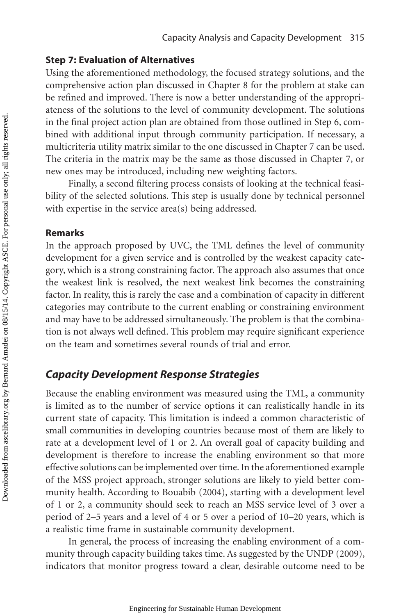#### Step 7: Evaluation of Alternatives

Using the aforementioned methodology, the focused strategy solutions, and the comprehensive action plan discussed in Chapter 8 for the problem at stake can be refined and improved. There is now a better understanding of the appropriateness of the solutions to the level of community development. The solutions in the final project action plan are obtained from those outlined in Step 6, combined with additional input through community participation. If necessary, a multicriteria utility matrix similar to the one discussed in Chapter 7 can be used. The criteria in the matrix may be the same as those discussed in Chapter 7, or new ones may be introduced, including new weighting factors.

Finally, a second filtering process consists of looking at the technical feasibility of the selected solutions. This step is usually done by technical personnel with expertise in the service area(s) being addressed.

#### Remarks

In the approach proposed by UVC, the TML defines the level of community development for a given service and is controlled by the weakest capacity category, which is a strong constraining factor. The approach also assumes that once the weakest link is resolved, the next weakest link becomes the constraining factor. In reality, this is rarely the case and a combination of capacity in different categories may contribute to the current enabling or constraining environment and may have to be addressed simultaneously. The problem is that the combination is not always well defined. This problem may require significant experience on the team and sometimes several rounds of trial and error.

#### *Capacity Development Response Strategies*

Because the enabling environment was measured using the TML, a community is limited as to the number of service options it can realistically handle in its current state of capacity. This limitation is indeed a common characteristic of small communities in developing countries because most of them are likely to rate at a development level of 1 or 2. An overall goal of capacity building and development is therefore to increase the enabling environment so that more effective solutions can be implemented over time. In the aforementioned example of the MSS project approach, stronger solutions are likely to yield better community health. According to Bouabib (2004), starting with a development level of 1 or 2, a community should seek to reach an MSS service level of 3 over a period of 2–5 years and a level of 4 or 5 over a period of 10–20 years, which is a realistic time frame in sustainable community development.

In general, the process of increasing the enabling environment of a community through capacity building takes time. As suggested by the UNDP (2009), indicators that monitor progress toward a clear, desirable outcome need to be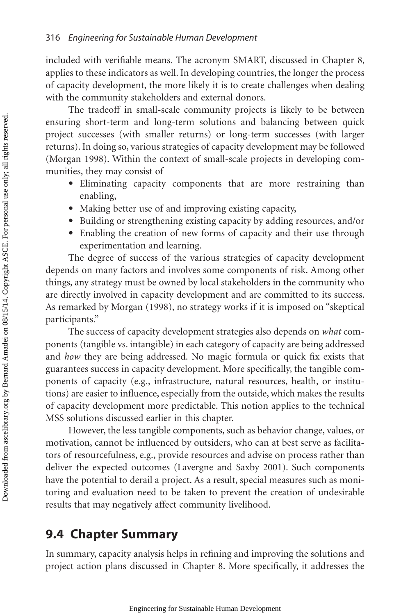included with verifiable means. The acronym SMART, discussed in Chapter 8, applies to these indicators as well. In developing countries, the longer the process of capacity development, the more likely it is to create challenges when dealing with the community stakeholders and external donors.

The tradeoff in small-scale community projects is likely to be between ensuring short-term and long-term solutions and balancing between quick project successes (with smaller returns) or long-term successes (with larger returns). In doing so, various strategies of capacity development may be followed (Morgan 1998). Within the context of small-scale projects in developing communities, they may consist of

- Eliminating capacity components that are more restraining than enabling,
- Making better use of and improving existing capacity,
- Building or strengthening existing capacity by adding resources, and/or
- Enabling the creation of new forms of capacity and their use through experimentation and learning.

The degree of success of the various strategies of capacity development depends on many factors and involves some components of risk. Among other things, any strategy must be owned by local stakeholders in the community who are directly involved in capacity development and are committed to its success. As remarked by Morgan (1998), no strategy works if it is imposed on "skeptical participants."

The success of capacity development strategies also depends on *what* components (tangible vs. intangible) in each category of capacity are being addressed and *how* they are being addressed. No magic formula or quick fix exists that guarantees success in capacity development. More specifically, the tangible components of capacity (e.g., infrastructure, natural resources, health, or institutions) are easier to influence, especially from the outside, which makes the results of capacity development more predictable. This notion applies to the technical MSS solutions discussed earlier in this chapter.

However, the less tangible components, such as behavior change, values, or motivation, cannot be influenced by outsiders, who can at best serve as facilitators of resourcefulness, e.g., provide resources and advise on process rather than deliver the expected outcomes (Lavergne and Saxby 2001). Such components have the potential to derail a project. As a result, special measures such as monitoring and evaluation need to be taken to prevent the creation of undesirable results that may negatively affect community livelihood.

#### 9.4 Chapter Summary

In summary, capacity analysis helps in refining and improving the solutions and project action plans discussed in Chapter 8. More specifically, it addresses the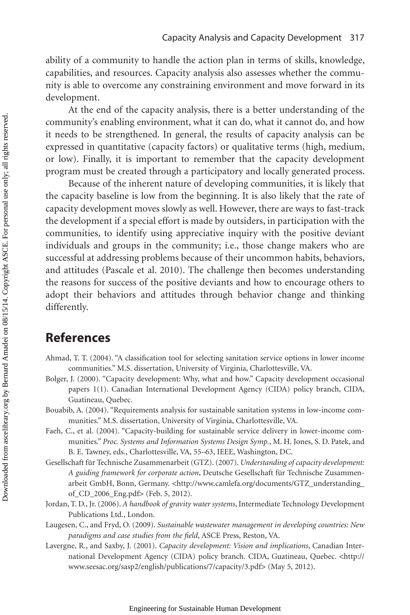ability of a community to handle the action plan in terms of skills, knowledge, capabilities, and resources. Capacity analysis also assesses whether the community is able to overcome any constraining environment and move forward in its development.

At the end of the capacity analysis, there is a better understanding of the community's enabling environment, what it can do, what it cannot do, and how it needs to be strengthened. In general, the results of capacity analysis can be expressed in quantitative (capacity factors) or qualitative terms (high, medium, or low). Finally, it is important to remember that the capacity development program must be created through a participatory and locally generated process.

Because of the inherent nature of developing communities, it is likely that the capacity baseline is low from the beginning. It is also likely that the rate of capacity development moves slowly as well. However, there are ways to fast-track the development if a special effort is made by outsiders, in participation with the communities, to identify using appreciative inquiry with the positive deviant individuals and groups in the community; i.e., those change makers who are successful at addressing problems because of their uncommon habits, behaviors, and attitudes (Pascale et al. 2010). The challenge then becomes understanding the reasons for success of the positive deviants and how to encourage others to adopt their behaviors and attitudes through behavior change and thinking differently.

#### References

- Ahmad, T. T. (2004). "A classification tool for selecting sanitation service options in lower income communities." M.S. dissertation, University of Virginia, Charlottesville, VA.
- Bolger, J. (2000). "Capacity development: Why, what and how." Capacity development occasional papers 1(1). Canadian International Development Agency (CIDA) policy branch, CIDA, Guatineau, Quebec.
- Bouabib, A. (2004). "Requirements analysis for sustainable sanitation systems in low-income communities." M.S. dissertation, University of Virginia, Charlottesville, VA.
- Faeh, C., et al. (2004). "Capacity-building for sustainable service delivery in lower-income communities." *Proc. Systems and Information Systems Design Symp.*, M. H. Jones, S. D. Patek, and B. E. Tawney, eds., Charlottesville, VA, 55–63, IEEE, Washington, DC.
- Gesellschaft für Technische Zusammenarbeit (GTZ). (2007). *Understanding of capacity development: A guiding framework for corporate action*, Deutsche Gesellschaft für Technische Zusammenarbeit GmbH, Bonn, Germany. <http://www.camlefa.org/documents/GTZ\_understanding\_ of\_CD\_2006\_Eng.pdf> (Feb. 5, 2012).
- Jordan, T. D., Jr. (2006). *A handbook of gravity water systems*, Intermediate Technology Development Publications Ltd., London.
- Laugesen, C., and Fryd, O. (2009). *Sustainable wastewater management in developing countries: New paradigms and case studies from the field*, ASCE Press, Reston, VA.
- Lavergne, R., and Saxby, J. (2001). *Capacity development: Vision and implications*, Canadian International Development Agency (CIDA) policy branch. CIDA, Guatineau, Quebec. <http:// www.seesac.org/sasp2/english/publications/7/capacity/3.pdf> (May 5, 2012).